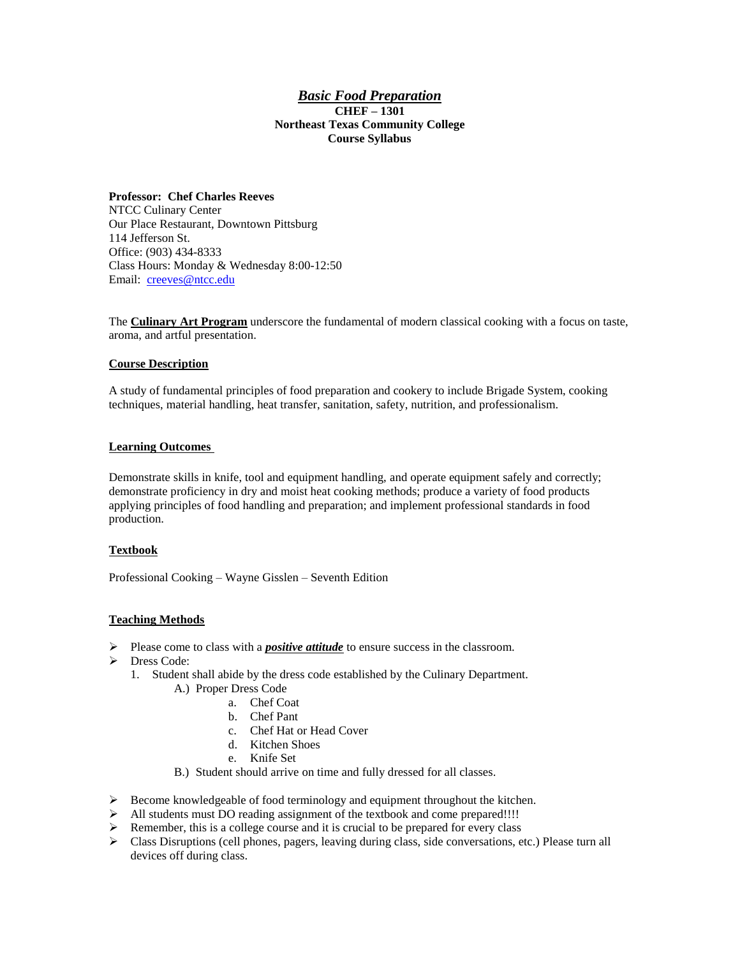### *Basic Food Preparation* **CHEF – 1301 Northeast Texas Community College Course Syllabus**

### **Professor: Chef Charles Reeves**

NTCC Culinary Center Our Place Restaurant, Downtown Pittsburg 114 Jefferson St. Office: (903) 434-8333 Class Hours: Monday & Wednesday 8:00-12:50 Email: [creeves@ntcc.edu](mailto:creeves@ntcc.edu)

The **Culinary Art Program** underscore the fundamental of modern classical cooking with a focus on taste, aroma, and artful presentation.

### **Course Description**

A study of fundamental principles of food preparation and cookery to include Brigade System, cooking techniques, material handling, heat transfer, sanitation, safety, nutrition, and professionalism.

### **Learning Outcomes**

Demonstrate skills in knife, tool and equipment handling, and operate equipment safely and correctly; demonstrate proficiency in dry and moist heat cooking methods; produce a variety of food products applying principles of food handling and preparation; and implement professional standards in food production.

### **Textbook**

Professional Cooking – Wayne Gisslen – Seventh Edition

### **Teaching Methods**

- Please come to class with a *positive attitude* to ensure success in the classroom.
- > Dress Code:
	- 1. Student shall abide by the dress code established by the Culinary Department.
		- A.) Proper Dress Code
			- a. Chef Coat
			- b. Chef Pant
			- c. Chef Hat or Head Cover
			- d. Kitchen Shoes
			- e. Knife Set
		- B.) Student should arrive on time and fully dressed for all classes.
- $\triangleright$  Become knowledgeable of food terminology and equipment throughout the kitchen.
- All students must DO reading assignment of the textbook and come prepared!!!!
- $\triangleright$  Remember, this is a college course and it is crucial to be prepared for every class
- Class Disruptions (cell phones, pagers, leaving during class, side conversations, etc.) Please turn all devices off during class.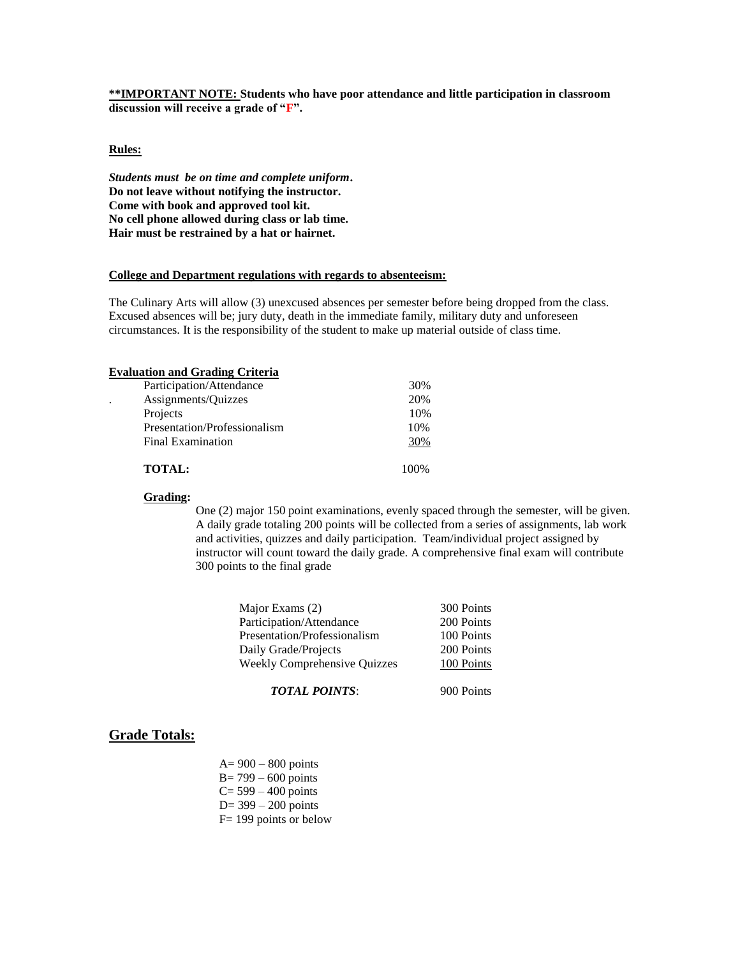**\*\*IMPORTANT NOTE: Students who have poor attendance and little participation in classroom discussion will receive a grade of "F".** 

### **Rules:**

*Students must be on time and complete uniform***. Do not leave without notifying the instructor. Come with book and approved tool kit. No cell phone allowed during class or lab time. Hair must be restrained by a hat or hairnet.**

### **College and Department regulations with regards to absenteeism:**

The Culinary Arts will allow (3) unexcused absences per semester before being dropped from the class. Excused absences will be; jury duty, death in the immediate family, military duty and unforeseen circumstances. It is the responsibility of the student to make up material outside of class time.

### **Evaluation and Grading Criteria**

|                      | Participation/Attendance     | 30%  |
|----------------------|------------------------------|------|
| $\ddot{\phantom{0}}$ | Assignments/Quizzes          | 20%  |
|                      | Projects                     | 10%  |
|                      | Presentation/Professionalism | 10%  |
|                      | <b>Final Examination</b>     | 30%  |
|                      | <b>TOTAL:</b>                | 100% |

### **Grading:**

One (2) major 150 point examinations, evenly spaced through the semester, will be given. A daily grade totaling 200 points will be collected from a series of assignments, lab work and activities, quizzes and daily participation. Team/individual project assigned by instructor will count toward the daily grade. A comprehensive final exam will contribute 300 points to the final grade

| Major Exams (2)                     | 300 Points |
|-------------------------------------|------------|
| Participation/Attendance            | 200 Points |
| Presentation/Professionalism        | 100 Points |
| Daily Grade/Projects                | 200 Points |
| <b>Weekly Comprehensive Quizzes</b> | 100 Points |
|                                     |            |

*TOTAL POINTS*: 900 Points

# **Grade Totals:**

 A= 900 – 800 points B= 799 – 600 points  $C = 599 - 400$  points  $D= 399 - 200$  points F= 199 points or below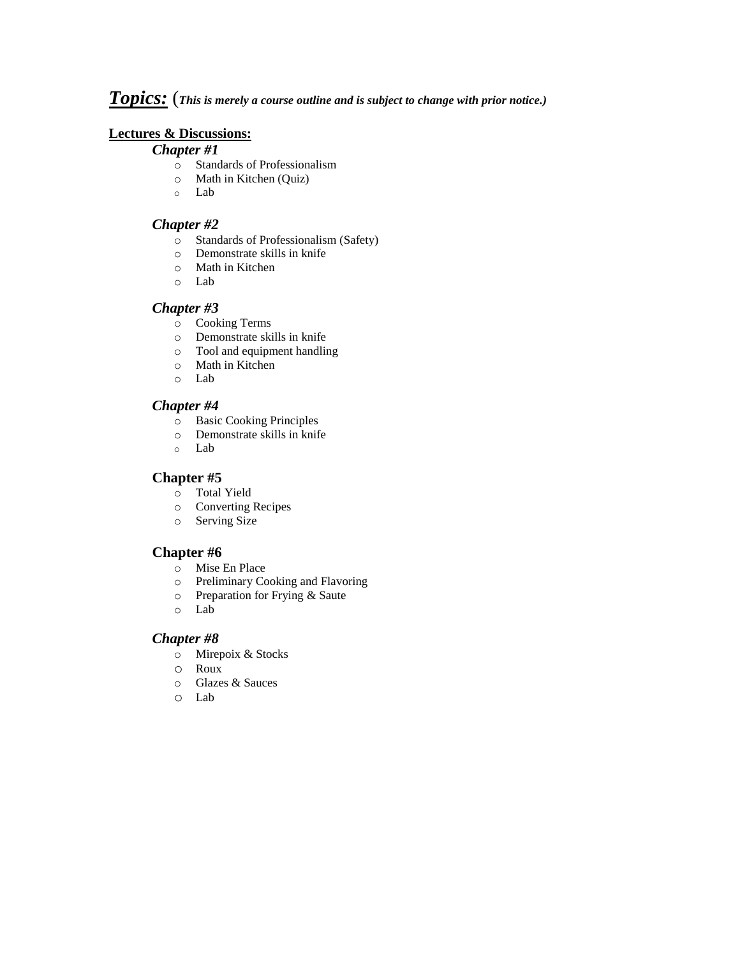## *Topics:* (*This is merely a course outline and is subject to change with prior notice.)*

## **Lectures & Discussions:**

### *Chapter #1*

- o Standards of Professionalism
- o Math in Kitchen (Quiz)
- o Lab

## *Chapter #2*

- o Standards of Professionalism (Safety)
- o Demonstrate skills in knife
- o Math in Kitchen
- o Lab

## *Chapter #3*

- o Cooking Terms
- o Demonstrate skills in knife
- o Tool and equipment handling
- o Math in Kitchen
- o Lab

## *Chapter #4*

- o Basic Cooking Principles
- o Demonstrate skills in knife
- o Lab

## **Chapter #5**

- o Total Yield
- o Converting Recipes
- o Serving Size

## **Chapter #6**

- o Mise En Place
- o Preliminary Cooking and Flavoring
- o Preparation for Frying & Saute
- o Lab

## *Chapter #8*

- o Mirepoix & Stocks
- o Roux
- o Glazes & Sauces
- o Lab